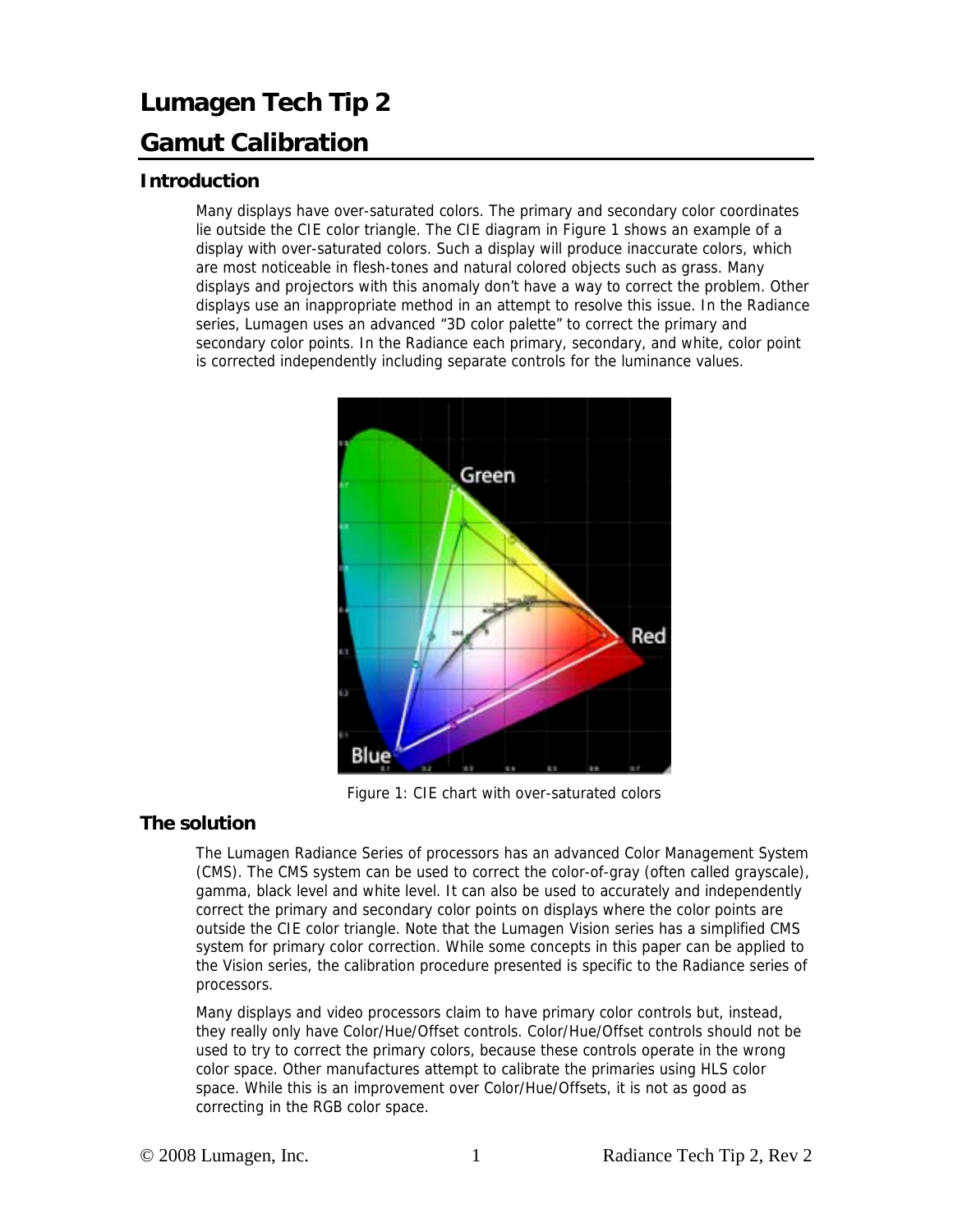## **Lumagen Tech Tip 2 Gamut Calibration**

## **Introduction**

Many displays have over-saturated colors. The primary and secondary color coordinates lie outside the CIE color triangle. The CIE diagram in Figure 1 shows an example of a display with over-saturated colors. Such a display will produce inaccurate colors, which are most noticeable in flesh-tones and natural colored objects such as grass. Many displays and projectors with this anomaly don't have a way to correct the problem. Other displays use an inappropriate method in an attempt to resolve this issue. In the Radiance series, Lumagen uses an advanced "3D color palette" to correct the primary and secondary color points. In the Radiance each primary, secondary, and white, color point is corrected independently including separate controls for the luminance values.



Figure 1: CIE chart with over-saturated colors

## **The solution**

The Lumagen Radiance Series of processors has an advanced Color Management System (CMS). The CMS system can be used to correct the color-of-gray (often called grayscale), gamma, black level and white level. It can also be used to accurately and independently correct the primary and secondary color points on displays where the color points are outside the CIE color triangle. Note that the Lumagen Vision series has a simplified CMS system for primary color correction. While some concepts in this paper can be applied to the Vision series, the calibration procedure presented is specific to the Radiance series of processors.

Many displays and video processors claim to have primary color controls but, instead, they really only have Color/Hue/Offset controls. Color/Hue/Offset controls should not be used to try to correct the primary colors, because these controls operate in the wrong color space. Other manufactures attempt to calibrate the primaries using HLS color space. While this is an improvement over Color/Hue/Offsets, it is not as good as correcting in the RGB color space.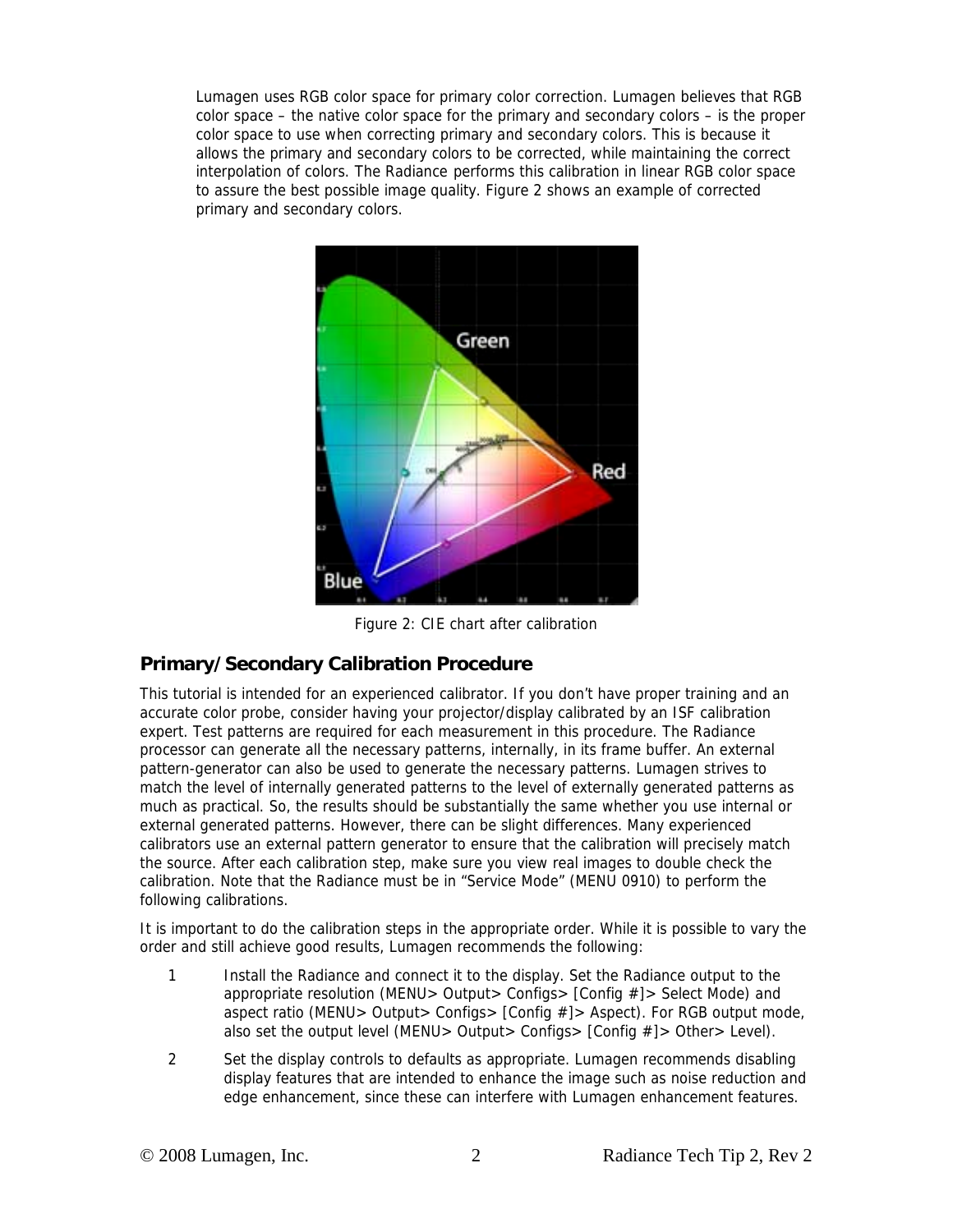Lumagen uses RGB color space for primary color correction. Lumagen believes that RGB color space – the native color space for the primary and secondary colors – is the proper color space to use when correcting primary and secondary colors. This is because it allows the primary and secondary colors to be corrected, while maintaining the correct interpolation of colors. The Radiance performs this calibration in linear RGB color space to assure the best possible image quality. Figure 2 shows an example of corrected primary and secondary colors.



Figure 2: CIE chart after calibration

## **Primary/Secondary Calibration Procedure**

This tutorial is intended for an experienced calibrator. If you don't have proper training and an accurate color probe, consider having your projector/display calibrated by an ISF calibration expert. Test patterns are required for each measurement in this procedure. The Radiance processor can generate all the necessary patterns, internally, in its frame buffer. An external pattern-generator can also be used to generate the necessary patterns. Lumagen strives to match the level of internally generated patterns to the level of externally generated patterns as much as practical. So, the results should be substantially the same whether you use internal or external generated patterns. However, there can be slight differences. Many experienced calibrators use an external pattern generator to ensure that the calibration will precisely match the source. After each calibration step, make sure you view real images to double check the calibration. Note that the Radiance must be in "Service Mode" (MENU 0910) to perform the following calibrations.

It is important to do the calibration steps in the appropriate order. While it is possible to vary the order and still achieve good results, Lumagen recommends the following:

- 1 Install the Radiance and connect it to the display. Set the Radiance output to the appropriate resolution (MENU> Output> Configs> [Config #]> Select Mode) and aspect ratio (MENU> Output> Configs> [Config #]> Aspect). For RGB output mode, also set the output level (MENU> Output> Configs> [Config #]> Other> Level).
- 2 Set the display controls to defaults as appropriate. Lumagen recommends disabling display features that are intended to enhance the image such as noise reduction and edge enhancement, since these can interfere with Lumagen enhancement features.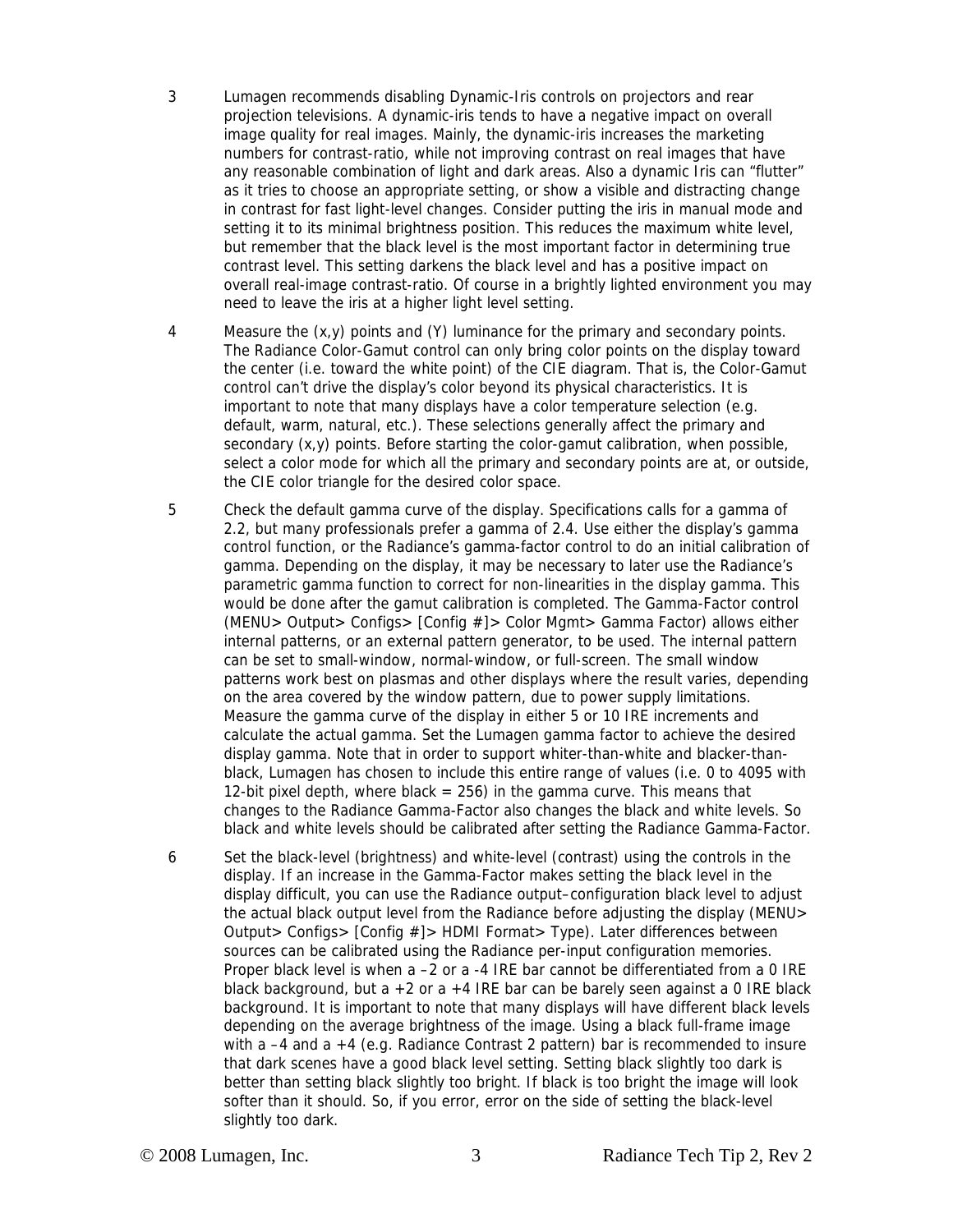- 3 Lumagen recommends disabling Dynamic-Iris controls on projectors and rear projection televisions. A dynamic-iris tends to have a negative impact on overall image quality for real images. Mainly, the dynamic-iris increases the marketing numbers for contrast-ratio, while not improving contrast on real images that have any reasonable combination of light and dark areas. Also a dynamic Iris can "flutter" as it tries to choose an appropriate setting, or show a visible and distracting change in contrast for fast light-level changes. Consider putting the iris in manual mode and setting it to its minimal brightness position. This reduces the maximum white level, but remember that the black level is the most important factor in determining true contrast level. This setting darkens the black level and has a positive impact on overall real-image contrast-ratio. Of course in a brightly lighted environment you may need to leave the iris at a higher light level setting.
- 4 Measure the (x,y) points and (Y) luminance for the primary and secondary points. The Radiance Color-Gamut control can only bring color points on the display toward the center (i.e. toward the white point) of the CIE diagram. That is, the Color-Gamut control can't drive the display's color beyond its physical characteristics. It is important to note that many displays have a color temperature selection (e.g. default, warm, natural, etc.). These selections generally affect the primary and secondary  $(x,y)$  points. Before starting the color-gamut calibration, when possible, select a color mode for which all the primary and secondary points are at, or outside, the CIE color triangle for the desired color space.
- 5 Check the default gamma curve of the display. Specifications calls for a gamma of 2.2, but many professionals prefer a gamma of 2.4. Use either the display's gamma control function, or the Radiance's gamma-factor control to do an initial calibration of gamma. Depending on the display, it may be necessary to later use the Radiance's parametric gamma function to correct for non-linearities in the display gamma. This would be done after the gamut calibration is completed. The Gamma-Factor control (MENU> Output> Configs> [Config #]> Color Mgmt> Gamma Factor) allows either internal patterns, or an external pattern generator, to be used. The internal pattern can be set to small-window, normal-window, or full-screen. The small window patterns work best on plasmas and other displays where the result varies, depending on the area covered by the window pattern, due to power supply limitations. Measure the gamma curve of the display in either 5 or 10 IRE increments and calculate the actual gamma. Set the Lumagen gamma factor to achieve the desired display gamma. Note that in order to support whiter-than-white and blacker-thanblack, Lumagen has chosen to include this entire range of values (i.e. 0 to 4095 with 12-bit pixel depth, where black = 256) in the gamma curve. This means that changes to the Radiance Gamma-Factor also changes the black and white levels. So black and white levels should be calibrated after setting the Radiance Gamma-Factor.
- 6 Set the black-level (brightness) and white-level (contrast) using the controls in the display. If an increase in the Gamma-Factor makes setting the black level in the display difficult, you can use the Radiance output–configuration black level to adjust the actual black output level from the Radiance before adjusting the display (MENU> Output> Configs> [Config #]> HDMI Format> Type). Later differences between sources can be calibrated using the Radiance per-input configuration memories. Proper black level is when a –2 or a -4 IRE bar cannot be differentiated from a 0 IRE black background, but a  $+2$  or a  $+4$  IRE bar can be barely seen against a 0 IRE black background. It is important to note that many displays will have different black levels depending on the average brightness of the image. Using a black full-frame image with a –4 and a +4 (e.g. Radiance Contrast 2 pattern) bar is recommended to insure that dark scenes have a good black level setting. Setting black slightly too dark is better than setting black slightly too bright. If black is too bright the image will look softer than it should. So, if you error, error on the side of setting the black-level slightly too dark.
-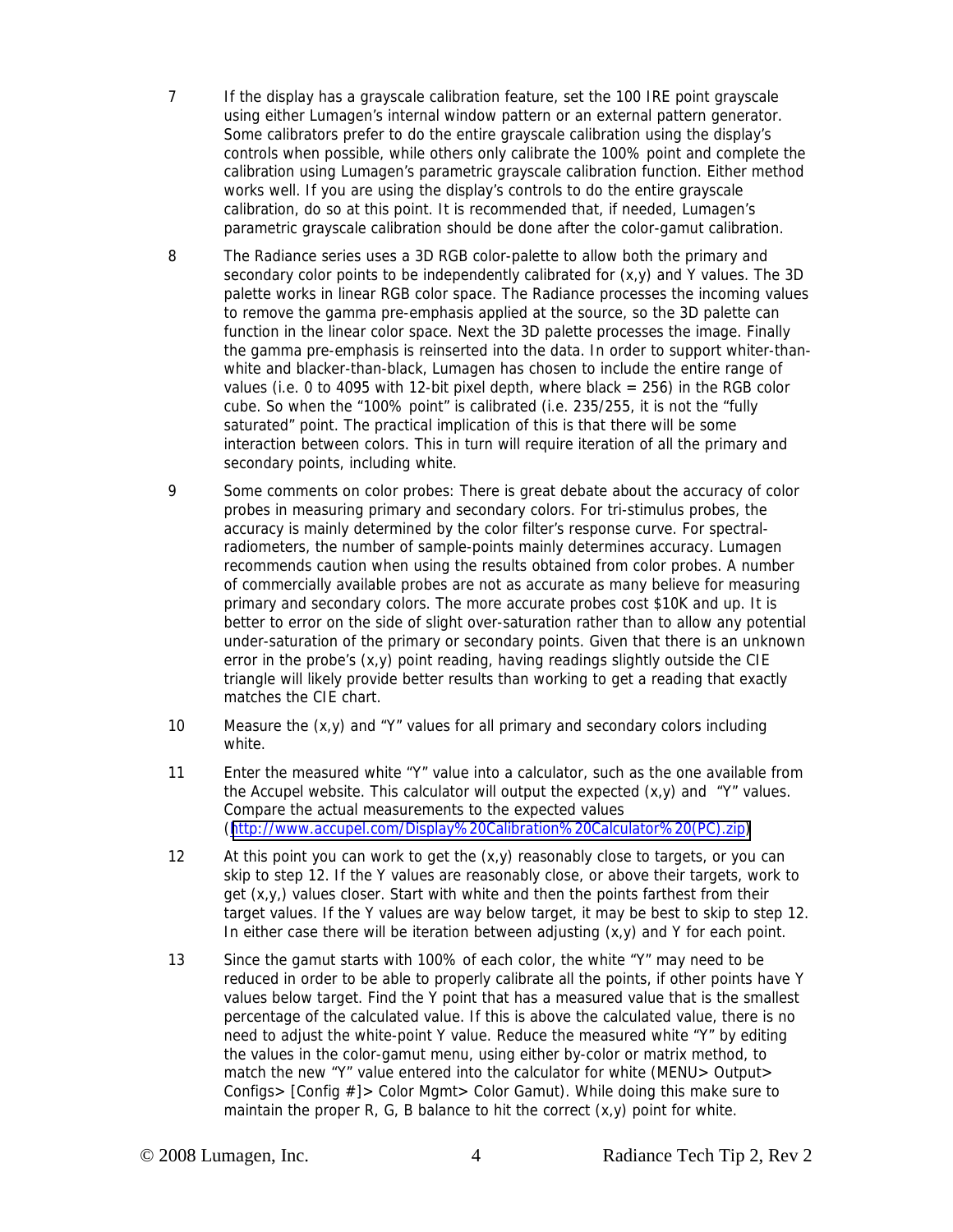- 7 If the display has a grayscale calibration feature, set the 100 IRE point grayscale using either Lumagen's internal window pattern or an external pattern generator. Some calibrators prefer to do the entire grayscale calibration using the display's controls when possible, while others only calibrate the 100% point and complete the calibration using Lumagen's parametric grayscale calibration function. Either method works well. If you are using the display's controls to do the entire grayscale calibration, do so at this point. It is recommended that, if needed, Lumagen's parametric grayscale calibration should be done after the color-gamut calibration.
- 8 The Radiance series uses a 3D RGB color-palette to allow both the primary and secondary color points to be independently calibrated for  $(x,y)$  and Y values. The 3D palette works in linear RGB color space. The Radiance processes the incoming values to remove the gamma pre-emphasis applied at the source, so the 3D palette can function in the linear color space. Next the 3D palette processes the image. Finally the gamma pre-emphasis is reinserted into the data. In order to support whiter-thanwhite and blacker-than-black, Lumagen has chosen to include the entire range of values (i.e. 0 to 4095 with 12-bit pixel depth, where black  $= 256$ ) in the RGB color cube. So when the "100% point" is calibrated (i.e. 235/255, it is not the "fully saturated" point. The practical implication of this is that there will be some interaction between colors. This in turn will require iteration of all the primary and secondary points, including white.
- 9 Some comments on color probes: There is great debate about the accuracy of color probes in measuring primary and secondary colors. For tri-stimulus probes, the accuracy is mainly determined by the color filter's response curve. For spectralradiometers, the number of sample-points mainly determines accuracy. Lumagen recommends caution when using the results obtained from color probes. A number of commercially available probes are not as accurate as many believe for measuring primary and secondary colors. The more accurate probes cost \$10K and up. It is better to error on the side of slight over-saturation rather than to allow any potential under-saturation of the primary or secondary points. Given that there is an unknown error in the probe's (x,y) point reading, having readings slightly outside the CIE triangle will likely provide better results than working to get a reading that exactly matches the CIE chart.
- 10 Measure the (x,y) and "Y" values for all primary and secondary colors including white.
- 11 Enter the measured white "Y" value into a calculator, such as the one available from the Accupel website. This calculator will output the expected  $(x,y)$  and "Y" values. Compare the actual measurements to the expected values ([http://www.accupel.com/Display%20Calibration%20Calculator%20\(PC\).zip\)](http://www.accupel.com/)
- 12 At this point you can work to get the  $(x,y)$  reasonably close to targets, or you can skip to step 12. If the Y values are reasonably close, or above their targets, work to get (x,y,) values closer. Start with white and then the points farthest from their target values. If the Y values are way below target, it may be best to skip to step 12. In either case there will be iteration between adjusting (x,y) and Y for each point.
- 13 Since the gamut starts with 100% of each color, the white "Y" may need to be reduced in order to be able to properly calibrate all the points, if other points have Y values below target. Find the Y point that has a measured value that is the smallest percentage of the calculated value. If this is above the calculated value, there is no need to adjust the white-point Y value. Reduce the measured white "Y" by editing the values in the color-gamut menu, using either by-color or matrix method, to match the new "Y" value entered into the calculator for white (MENU> Output> Configs> [Config #]> Color Mgmt> Color Gamut). While doing this make sure to maintain the proper R, G, B balance to hit the correct  $(x,y)$  point for white.